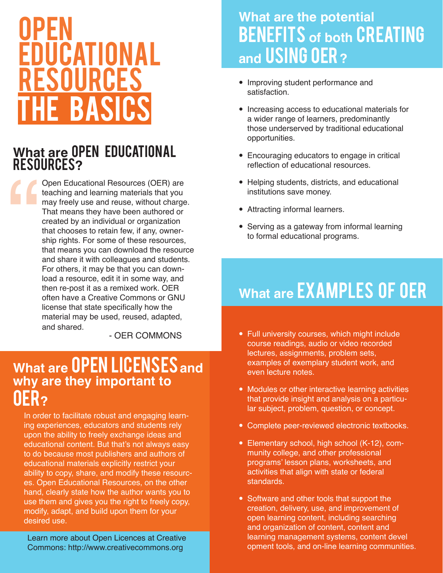# **OPEN EDUCATIONAL** Resources The basics

#### **What are** Open Educational Resources**?**

" Open Educational Resources (OER) are teaching and learning materials that you may freely use and reuse, without charge. That means they have been authored or created by an individual or organization that chooses to retain few, if any, ownership rights. For some of these resources, that means you can download the resource and share it with colleagues and students. For others, it may be that you can download a resource, edit it in some way, and then re-post it as a remixed work. OER often have a Creative Commons or GNU license that state specifically how the material may be used, reused, adapted, and shared.

- OER COMMONS

### **What are OPEN LICENSES and why are they important to**  OER**?**

In order to facilitate robust and engaging learning experiences, educators and students rely upon the ability to freely exchange ideas and educational content. But that's not always easy to do because most publishers and authors of educational materials explicitly restrict your ability to copy, share, and modify these resources. Open Educational Resources, on the other hand, clearly state how the author wants you to use them and gives you the right to freely copy, modify, adapt, and build upon them for your desired use.

 Learn more about Open Licences at Creative Commons: http://www.creativecommons.org

### **What are the potential BENEFITS** of both **CREATING and** using OER **?**

- Improving student performance and satisfaction.
- Increasing access to educational materials for a wider range of learners, predominantly those underserved by traditional educational opportunities.
- Encouraging educators to engage in critical reflection of educational resources.
- Helping students, districts, and educational institutions save money.
- Attracting informal learners.
- Serving as a gateway from informal learning to formal educational programs.

### **What are EXAMPLES OF OER**

- Full university courses, which might include course readings, audio or video recorded lectures, assignments, problem sets, examples of exemplary student work, and even lecture notes.
- Modules or other interactive learning activities that provide insight and analysis on a particu lar subject, problem, question, or concept.
- Complete peer-reviewed electronic textbooks.
- Elementary school, high school (K-12), com munity college, and other professional programs' lesson plans, worksheets, and activities that align with state or federal standards.
- Software and other tools that support the creation, delivery, use, and improvement of open learning content, including searching and organization of content, content and learning management systems, content devel opment tools, and on-line learning communities.